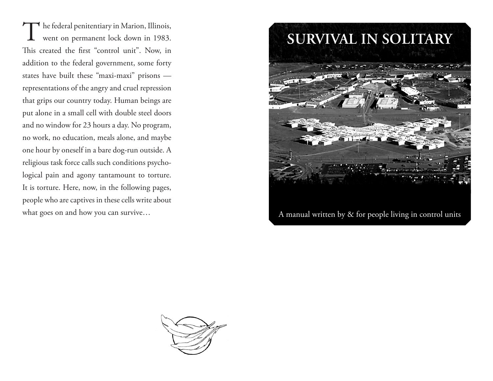The federal penitentiary in Marion, Illinois,<br>went on permanent lock down in 1983. went on permanent lock down in 1983. This created the first "control unit". Now, in addition to the federal government, some forty states have built these "maxi-maxi" prisons representations of the angry and cruel repression that grips our country today. Human beings are put alone in a small cell with double steel doors and no window for 23 hours a day. No program, no work, no education, meals alone, and maybe one hour by oneself in a bare dog-run outside. A religious task force calls such conditions psychological pain and agony tantamount to torture. It is torture. Here, now, in the following pages, people who are captives in these cells write about what goes on and how you can survive…



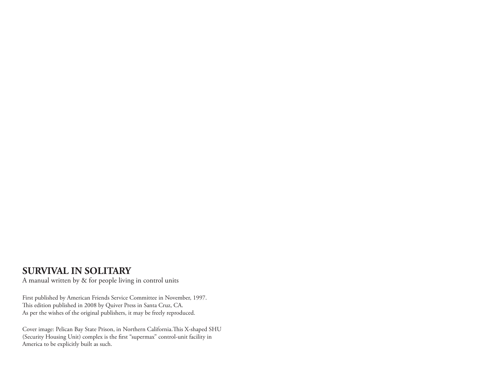# **SURVIVAL IN SOLITARY**

A manual written by & for people living in control units

First published by American Friends Service Committee in November, 1997. This edition published in 2008 by Quiver Press in Santa Cruz, CA. As per the wishes of the original publishers, it may be freely reproduced.

Cover image: Pelican Bay State Prison, in Northern California.This X-shaped SHU (Security Housing Unit) complex is the first "supermax" control-unit facility in America to be explicitly built as such.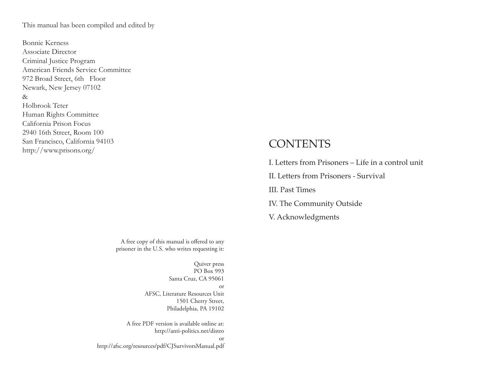This manual has been compiled and edited by

Bonnie Kerness Associate Director Criminal Justice Program American Friends Service Committee 972 Broad Street, 6th Floor Newark, New Jersey 07102 & Holbrook Teter Human Rights Committee California Prison Focus 2940 16th Street, Room 100 San Francisco, California 94103 http://www.prisons.org/

#### A free copy of this manual is offered to any prisoner in the U.S. who writes requesting it:

Quiver press PO Box 993 Santa Cruz, CA 95061 or AFSC, Literature Resources Unit 1501 Cherry Street, Philadelphia, PA 19102

A free PDF version is available online at: http://anti-politics.net/distro or http://afsc.org/resources/pdf/CJSurvivorsManual.pdf

# **CONTENTS**

I. Letters from Prisoners – Life in a control unit II. Letters from Prisoners - Survival III. Past Times IV. The Community Outside V. Acknowledgments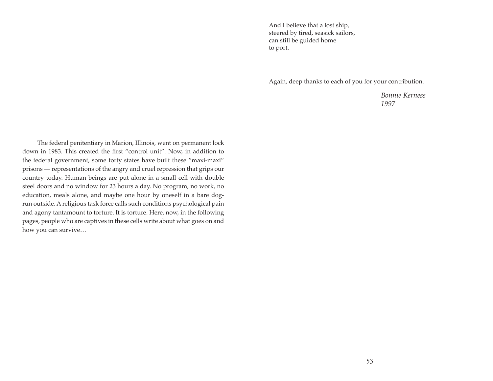And I believe that a lost ship, steered by tired, seasick sailors, can still be guided home to port.

Again, deep thanks to each of you for your contribution.

*Bonnie Kerness 1997* 

The federal penitentiary in Marion, Illinois, went on permanent lock down in 1983. This created the first "control unit". Now, in addition to the federal government, some forty states have built these "maxi-maxi" prisons — representations of the angry and cruel repression that grips our country today. Human beings are put alone in a small cell with double steel doors and no window for 23 hours a day. No program, no work, no education, meals alone, and maybe one hour by oneself in a bare dogrun outside. A religious task force calls such conditions psychological pain and agony tantamount to torture. It is torture. Here, now, in the following pages, people who are captives in these cells write about what goes on and how you can survive…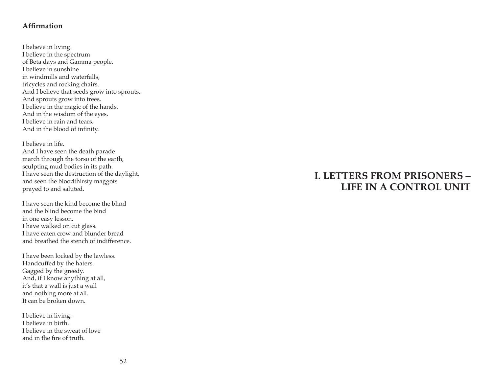## **Affirmation**

I believe in living. I believe in the spectrum of Beta days and Gamma people. I believe in sunshine in windmills and waterfalls, tricycles and rocking chairs. And I believe that seeds grow into sprouts, And sprouts grow into trees. I believe in the magic of the hands. And in the wisdom of the eyes. I believe in rain and tears. And in the blood of infinity.

I believe in life. And I have seen the death parade march through the torso of the earth, sculpting mud bodies in its path. I have seen the destruction of the daylight, and seen the bloodthirsty maggots prayed to and saluted.

I have seen the kind become the blind and the blind become the bind in one easy lesson. I have walked on cut glass. I have eaten crow and blunder bread and breathed the stench of indifference.

I have been locked by the lawless. Handcuffed by the haters. Gagged by the greedy. And, if I know anything at all, it's that a wall is just a wall and nothing more at all. It can be broken down.

I believe in living. I believe in birth. I believe in the sweat of love and in the fire of truth.

# **I. LETTERS FROM PRISONERS – LIFE IN A CONTROL UNIT**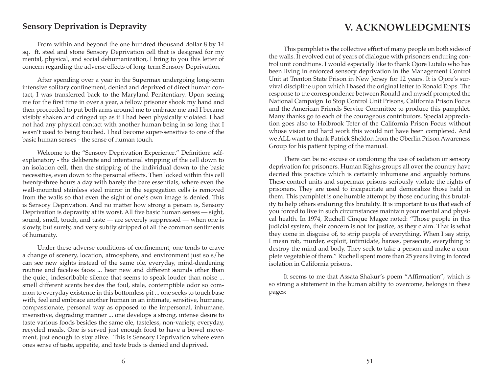## **Sensory Deprivation is Depravity**

# **V. ACKNOWLEDGMENTS**

From within and beyond the one hundred thousand dollar 8 by 14 sq. ft. steel and stone Sensory Deprivation cell that is designed for my mental, physical, and social dehumanization, I bring to you this letter of concern regarding the adverse effects of long-term Sensory Deprivation.

After spending over a year in the Supermax undergoing long-term intensive solitary confinement, denied and deprived of direct human contact, I was transferred back to the Maryland Penitentiary. Upon seeing me for the first time in over a year, a fellow prisoner shook my hand and then proceeded to put both arms around me to embrace me and I became visibly shaken and cringed up as if I had been physically violated. I had not had any physical contact with another human being in so long that I wasn't used to being touched. I had become super-sensitive to one of the basic human senses - the sense of human touch.

Welcome to the "Sensory Deprivation Experience." Definition: selfexplanatory - the deliberate and intentional stripping of the cell down to an isolation cell, then the stripping of the individual down to the basic necessities, even down to the personal effects. Then locked within this cell twenty-three hours a day with barely the bare essentials, where even the wall-mounted stainless steel mirror in the segregation cells is removed from the walls so that even the sight of one's own image is denied. This is Sensory Deprivation. And no matter how strong a person is, Sensory Deprivation is depravity at its worst. All five basic human senses — sight, sound, smell, touch, and taste — are severely suppressed — when one is slowly, but surely, and very subtly stripped of all the common sentiments of humanity.

Under these adverse conditions of confinement, one tends to crave a change of scenery, location, atmosphere, and environment just so s/he can see new sights instead of the same ole, everyday, mind-deadening routine and faceless faces ... hear new and different sounds other than the quiet, indescribable silence that seems to speak louder than noise ... smell different scents besides the foul, stale, contemptible odor so common to everyday existence in this bottomless pit ... one seeks to touch base with, feel and embrace another human in an intimate, sensitive, humane, compassionate, personal way as opposed to the impersonal, inhumane, insensitive, degrading manner ... one develops a strong, intense desire to taste various foods besides the same ole, tasteless, non-variety, everyday, recycled meals. One is served just enough food to have a bowel movement, just enough to stay alive. This is Sensory Deprivation where even ones sense of taste, appetite, and taste buds is denied and deprived.

This pamphlet is the collective effort of many people on both sides of the walls. It evolved out of years of dialogue with prisoners enduring control unit conditions. I would especially like to thank Ojore Lutalo who has been living in enforced sensory deprivation in the Management Control Unit at Trenton State Prison in New Jersey for 12 years. It is Ojore's survival discipline upon which I based the original letter to Ronald Epps. The response to the correspondence between Ronald and myself prompted the National Campaign To Stop Control Unit Prisons, California Prison Focus and the American Friends Service Committee to produce this pamphlet. Many thanks go to each of the courageous contributors. Special appreciation goes also to Holbrook Teter of the California Prison Focus without whose vision and hard work this would not have been completed. And we ALL want to thank Patrick Sheldon from the Oberlin Prison Awareness Group for his patient typing of the manual.

There can be no excuse or condoning the use of isolation or sensory deprivation for prisoners. Human Rights groups all over the country have decried this practice which is certainly inhumane and arguably torture. These control units and supermax prisons seriously violate the rights of prisoners. They are used to incapacitate and demoralize those held in them. This pamphlet is one humble attempt by those enduring this brutality to help others enduring this brutality. It is important to us that each of you forced to live in such circumstances maintain your mental and physical health. In 1974, Ruchell Cinque Magee noted: "Those people in this judicial system, their concern is not for justice, as they claim. That is what they come in disguise of, to strip people of everything. When I say strip, I mean rob, murder, exploit, intimidate, harass, persecute, everything to destroy the mind and body. They seek to take a person and make a complete vegetable of them." Ruchell spent more than 25 years living in forced isolation in California prisons.

It seems to me that Assata Shakur's poem "Affirmation", which is so strong a statement in the human ability to overcome, belongs in these pages: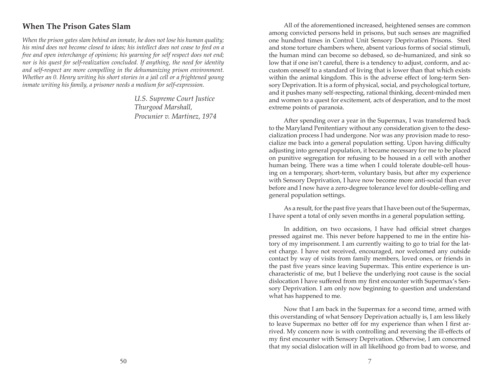# **When The Prison Gates Slam**

*When the prison gates slam behind an inmate, he does not lose his human quality; his mind does not become closed to ideas; his intellect does not cease to feed on a free and open interchange of opinions; his yearning for self respect does not end; nor is his quest for self-realization concluded. If anything, the need for identity and self-respect are more compelling in the dehumanizing prison environment. Whether an 0. Henry writing his short stories in a jail cell or a frightened young inmate writing his family, a prisoner needs a medium for self-expression.* 

> *U.S. Supreme Court Justice Thurgood Marshall, Procunier v. Martinez, 1974*

All of the aforementioned increased, heightened senses are common among convicted persons held in prisons, but such senses are magnified one hundred times in Control Unit Sensory Deprivation Prisons. Steel and stone torture chambers where, absent various forms of social stimuli, the human mind can become so debased, so de-humanized, and sink so low that if one isn't careful, there is a tendency to adjust, conform, and accustom oneself to a standard of living that is lower than that which exists within the animal kingdom. This is the adverse effect of long-term Sensory Deprivation. It is a form of physical, social, and psychological torture, and it pushes many self-respecting, rational thinking, decent-minded men and women to a quest for excitement, acts of desperation, and to the most extreme points of paranoia.

After spending over a year in the Supermax, I was transferred back to the Maryland Penitentiary without any consideration given to the desocialization process I had undergone. Nor was any provision made to resocialize me back into a general population setting. Upon having difficulty adjusting into general population, it became necessary for me to be placed on punitive segregation for refusing to be housed in a cell with another human being. There was a time when I could tolerate double-cell housing on a temporary, short-term, voluntary basis, but after my experience with Sensory Deprivation, I have now become more anti-social than ever before and I now have a zero-degree tolerance level for double-celling and general population settings.

As a result, for the past five years that I have been out of the Supermax, I have spent a total of only seven months in a general population setting.

In addition, on two occasions, I have had official street charges pressed against me. This never before happened to me in the entire history of my imprisonment. I am currently waiting to go to trial for the latest charge. I have not received, encouraged, nor welcomed any outside contact by way of visits from family members, loved ones, or friends in the past five years since leaving Supermax. This entire experience is uncharacteristic of me, but I believe the underlying root cause is the social dislocation I have suffered from my first encounter with Supermax's Sensory Deprivation. I am only now beginning to question and understand what has happened to me.

Now that I am back in the Supermax for a second time, armed with this overstanding of what Sensory Deprivation actually is, I am less likely to leave Supermax no better off for my experience than when I first arrived. My concern now is with controlling and reversing the ill-effects of my first encounter with Sensory Deprivation. Otherwise, I am concerned that my social dislocation will in all likelihood go from bad to worse, and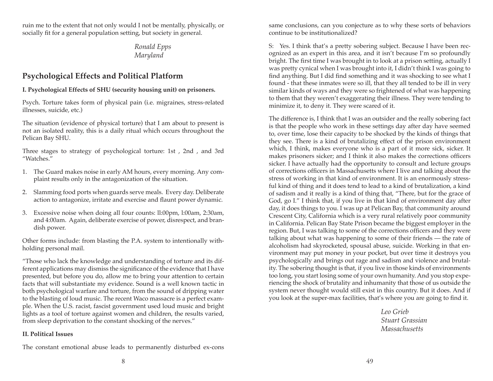ruin me to the extent that not only would I not be mentally, physically, or socially fit for a general population setting, but society in general.

## *Ronald Epps Maryland*

## **Psychological Effects and Political Platform**

### **I. Psychological Effects of SHU (security housing unit) on prisoners.**

Psych. Torture takes form of physical pain (i.e. migraines, stress-related illnesses, suicide, etc.)

The situation (evidence of physical torture) that I am about to present is not an isolated reality, this is a daily ritual which occurs throughout the Pelican Bay SHU.

Three stages to strategy of psychological torture: 1st , 2nd , and 3rd "Watches."

- 1. The Guard makes noise in early AM hours, every morning. Any complaint results only in the antagonization of the situation.
- 2. Slamming food ports when guards serve meals. Every day. Deliberate action to antagonize, irritate and exercise and flaunt power dynamic.
- 3. Excessive noise when doing all four counts: ll:00pm, l:00am, 2:30am, and 4:00am. Again, deliberate exercise of power, disrespect, and brandish power.

Other forms include: from blasting the P.A. system to intentionally withholding personal mail.

"Those who lack the knowledge and understanding of torture and its different applications may dismiss the significance of the evidence that I have presented, but before you do, allow me to bring your attention to certain facts that will substantiate my evidence. Sound is a well known tactic in both psychological warfare and torture, from the sound of dripping water to the blasting of loud music. The recent Waco massacre is a perfect example. When the U.S. racist, fascist government used loud music and bright lights as a tool of torture against women and children, the results varied, from sleep deprivation to the constant shocking of the nerves."

#### **II. Political Issues**

The constant emotional abuse leads to permanently disturbed ex-cons

same conclusions, can you conjecture as to why these sorts of behaviors continue to be institutionalized?

S: Yes. I think that's a pretty sobering subject. Because I have been recognized as an expert in this area, and it isn't because I'm so profoundly bright. The first time I was brought in to look at a prison setting, actually I was pretty cynical when I was brought into it, I didn't think I was going to find anything. But I did find something and it was shocking to see what I found - that these inmates were so ill, that they all tended to be ill in very similar kinds of ways and they were so frightened of what was happening to them that they weren't exaggerating their illness. They were tending to minimize it, to deny it. They were scared of it.

The difference is, I think that I was an outsider and the really sobering fact is that the people who work in these settings day after day have seemed to, over time, lose their capacity to be shocked by the kinds of things that they see. There is a kind of brutalizing effect of the prison environment which, I think, makes everyone who is a part of it more sick, sicker. It makes prisoners sicker; and I think it also makes the corrections officers sicker. I have actually had the opportunity to consult and lecture groups of corrections officers in Massachusetts where I live and talking about the stress of working in that kind of environment. It is an enormously stressful kind of thing and it does tend to lead to a kind of brutalization, a kind of sadism and it really is a kind of thing that, "There, but for the grace of God, go I." I think that, if you live in that kind of environment day after day, it does things to you. I was up at Pelican Bay, that community around Crescent City, California which is a very rural relatively poor community in California. Pelican Bay State Prison became the biggest employer in the region. But, I was talking to some of the corrections officers and they were talking about what was happening to some of their friends — the rate of alcoholism had skyrocketed, spousal abuse, suicide. Working in that environment may put money in your pocket, but over time it destroys you psychologically and brings out rage and sadism and violence and brutality. The sobering thought is that, if you live in those kinds of environments too long, you start losing some of your own humanity. And you stop experiencing the shock of brutality and inhumanity that those of us outside the system never thought would still exist in this country. But it does. And if you look at the super-max facilities, that's where you are going to find it.

> *Leo Grieb Stuart Grassian Massachusetts*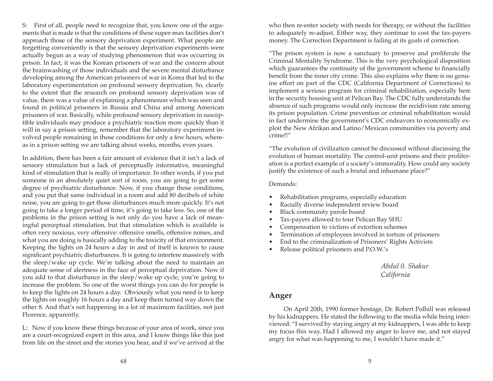S: First of all, people need to recognize that, you know one of the arguments that is made is that the conditions of these super-max facilities don't approach those of the sensory deprivation experiment. What people are forgetting conveniently is that the sensory deprivation experiments were actually begun as a way of studying phenomenon that was occurring in prison. In fact, it was the Korean prisoners of war and the concern about the brainwashing of those individuals and the severe mental disturbance developing among the American prisoners of war in Korea that led to the laboratory experimentation on profound sensory deprivation. So, clearly to the extent that the research on profound sensory deprivation was of value, there was a value of explaining a phenomenon which was seen and found in political prisoners in Russia and China and among American prisoners of war. Basically, while profound sensory deprivation in susceptible individuals may produce a psychiatric reaction more quickly than it will in say a prison setting, remember that the laboratory experiment involved people remaining in those conditions for only a few hours, whereas in a prison setting we are talking about weeks, months, even years.

In addition, there has been a fair amount of evidence that it isn't a lack of sensory stimulation but a lack of perceptually informative, meaningful kind of stimulation that is really of importance. In other words, if you put someone in an absolutely quiet sort of room, you are going to get some degree of psychiatric disturbance. Now, if you change those conditions, and you put that same individual in a room and add 80 decibels of white noise, you are going to get those disturbances much more quickly. It's not going to take a longer period of time, it's going to take less. So, one of the problems in the prison setting is not only do you have a lack of meaningful perceptual stimulation, but that stimulation which is available is often very noxious, very offensive: offensive smells, offensive noises, and what you are doing is basically adding to the toxicity of that environment. Keeping the lights on 24 hours a day in and of itself is known to cause significant psychiatric disturbances. It is going to interfere massively with the sleep/wake up cycle. We're talking about the need to maintain an adequate sense of alertness in the face of perceptual deprivation. Now if you add to that disturbance in the sleep/wake up cycle, you're going to increase the problem. So one of the worst things you can do for people is to keep the lights on 24 hours a day. Obviously what you need is to keep the lights on roughly 16 hours a day and keep them turned way down the other 8. And that's not happening in a lot of maximum facilities, not just Florence, apparently.

L: Now if you know these things because of your area of work, since you are a court-recognized expert in this area, and I know things like this just from life on the street and the stories you hear, and if we've arrived at the who then re-enter society with needs for therapy, or without the facilities to adequately re-adjust. Either way, they continue to cost the tax-payers money. The Correction Department is failing at its goals of correction.

"The prison system is now a sanctuary to preserve and proliferate the Criminal Mentality Syndrome. This is the very psychological disposition which guarantees the continuity of the government scheme to financially benefit from the inner city crime. This also explains why there is no genuine effort on part of the CDC (California Department of Corrections) to implement a serious program for criminal rehabilitation, especially here in the security housing unit at Pelican Bay. The CDC fully understands the absence of such programs would only increase the recidivism rate among its prison population. Crime prevention or criminal rehabilitation would in fact undermine the government's CDC endeavors to economically exploit the New Afrikan and Latino/Mexican communities via poverty and crime!!"

"The evolution of civilization cannot be discussed without discussing the evolution of human mortality. The control-unit prisons and their proliferation is a perfect example of a society's immorality. How could any society justify the existence of such a brutal and inhumane place?"

#### Demands:

- Rehabilitation programs, especially education
- Racially diverse independent review board
- Black community parole board
- Tax-payers allowed to tour Pelican Bay SHU
- Compensation to victims of extortion schemes
- Termination of employees involved in torture of prisoners
- End to the criminalization of Prisoners' Rights Activists
- Release political prisoners and P.O.W.'s

*Abdul 0. Shakur California* 

### **Anger**

On April 20th, 1990 former hostage, Dr. Robert Polhill was released by his kidnappers. He stated the following to the media while being interviewed: "I survived by staying angry at my kidnappers, I was able to keep my focus this way. Had I allowed my anger to leave me, and not stayed angry for what was happening to me, I wouldn't have made it."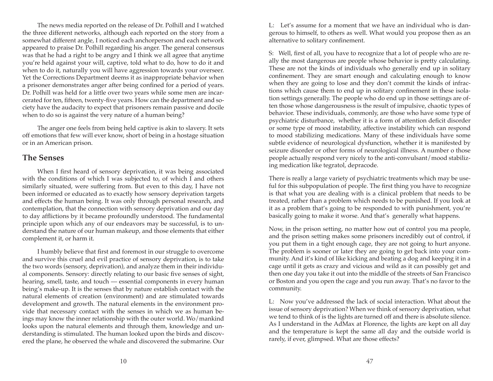The news media reported on the release of Dr. Polhill and I watched the three different networks, although each reported on the story from a somewhat different angle, I noticed each anchorperson and each network appeared to praise Dr. Polhill regarding his anger. The general consensus was that he had a right to be angry and I think we all agree that anytime you're held against your will, captive, told what to do, how to do it and when to do it, naturally you will have aggression towards your overseer. Yet the Corrections Department deems it as inappropriate behavior when a prisoner demonstrates anger after being confined for a period of years. Dr. Polhill was held for a little over two years while some men are incarcerated for ten, fifteen, twenty-five years. How can the department and society have the audacity to expect that prisoners remain passive and docile when to do so is against the very nature of a human being?

The anger one feels from being held captive is akin to slavery. It sets off emotions that few will ever know, short of being in a hostage situation or in an American prison.

## **The Senses**

When I first heard of sensory deprivation, it was being associated with the conditions of which I was subjected to, of which I and others similarly situated, were suffering from. But even to this day, I have not been informed or educated as to exactly how sensory deprivation targets and effects the human being. It was only through personal research, and contemplation, that the connection with sensory deprivation and our day to day afflictions by it became profoundly understood. The fundamental principle upon which any of our endeavors may be successful, is to understand the nature of our human makeup, and those elements that either complement it, or harm it.

I humbly believe that first and foremost in our struggle to overcome and survive this cruel and evil practice of sensory deprivation, is to take the two words (sensory, deprivation), and analyze them in their individual components. Sensory: directly relating to our basic five senses of sight, hearing, smell, taste, and touch — essential components in every human being's make-up. It is the senses that by nature establish contact with the natural elements of creation (environment) and are stimulated towards development and growth. The natural elements in the environment provide that necessary contact with the senses in which we as human beings may know the inner relationship with the outer world. Wo/mankind looks upon the natural elements and through them, knowledge and understanding is stimulated. The human looked upon the birds and discovered the plane, he observed the whale and discovered the submarine. Our L: Let's assume for a moment that we have an individual who is dangerous to himself, to others as well. What would you propose then as an alternative to solitary confinement.

S: Well, first of all, you have to recognize that a lot of people who are really the most dangerous are people whose behavior is pretty calculating. These are not the kinds of individuals who generally end up in solitary confinement. They are smart enough and calculating enough to know when they are going to lose and they don't commit the kinds of infractions which cause them to end up in solitary confinement in these isolation settings generally. The people who do end up in those settings are often those whose dangerousness is the result of impulsive, chaotic types of behavior. These individuals, commonly, are those who have some type of psychiatric disturbance, whether it is a form of attention deficit disorder or some type of mood instability, affective instability which can respond to mood stabilizing medications. Many of these individuals have some subtle evidence of neurological dysfunction, whether it is manifested by seizure disorder or other forms of neurological illness. A number o those people actually respond very nicely to the anti-convulsant/mood stabilizing medication like tegratol, depracode.

There is really a large variety of psychiatric treatments which may be useful for this subpopulation of people. The first thing you have to recognize is that what you are dealing with is a clinical problem that needs to be treated, rather than a problem which needs to be punished. If you look at it as a problem that's going to be responded to with punishment, you're basically going to make it worse. And that's generally what happens.

Now, in the prison setting, no matter how out of control you ma people, and the prison setting makes some prisoners incredibly out of control, if you put them in a tight enough cage, they are not going to hurt anyone. The problem is sooner or later they are going to get back into your community. And it's kind of like kicking and beating a dog and keeping it in a cage until it gets as crazy and vicious and wild as it can possibly get and then one day you take it out into the middle of the streets of San Francisco or Boston and you open the cage and you run away. That's no favor to the community.

L: Now you've addressed the lack of social interaction. What about the issue of sensory deprivation? When we think of sensory deprivation, what we tend to think of is the lights are turned off and there is absolute silence. As I understand in the AdMax at Florence, the lights are kept on all day and the temperature is kept the same all day and the outside world is rarely, if ever, glimpsed. What are those effects?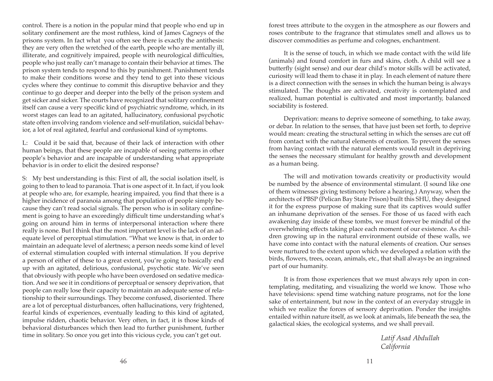control. There is a notion in the popular mind that people who end up in solitary confinement are the most ruthless, kind of James Cagneys of the prisons system. In fact what you often see there is exactly the antithesis: they are very often the wretched of the earth, people who are mentally ill, illiterate, and cognitively impaired, people with neurological difficulties, people who just really can't manage to contain their behavior at times. The prison system tends to respond to this by punishment. Punishment tends to make their conditions worse and they tend to get into these vicious cycles where they continue to commit this disruptive behavior and they continue to go deeper and deeper into the belly of the prison system and get sicker and sicker. The courts have recognized that solitary confinement itself can cause a very specific kind of psychiatric syndrome, which, in its worst stages can lead to an agitated, hallucinatory, confusional psychotic state often involving random violence and self-mutilation, suicidal behavior, a lot of real agitated, fearful and confusional kind of symptoms.

L: Could it be said that, because of their lack of interaction with other human beings, that these people are incapable of seeing patterns in other people's behavior and are incapable of understanding what appropriate behavior is in order to elicit the desired response?

S: My best understanding is this: First of all, the social isolation itself, is going to then to lead to paranoia. That is one aspect of it. In fact, if you look at people who are, for example, hearing impaired, you find that there is a higher incidence of paranoia among that population of people simply because they can't read social signals. The person who is in solitary confinement is going to have an exceedingly difficult time understanding what's going on around him in terms of interpersonal interaction where there really is none. But I think that the most important level is the lack of an adequate level of perceptual stimulation. "What we know is that, in order to maintain an adequate level of alertness; a person needs some kind of level of external stimulation coupled with internal stimulation. If you deprive a person of either of these to a great extent, you're going to basically end up with an agitated, delirious, confusional, psychotic state. We've seen that obviously with people who have been overdosed on sedative medication. And we see it in conditions of perceptual or sensory deprivation, that people can really lose their capacity to maintain an adequate sense of relationship to their surroundings. They become confused, disoriented. There are a lot of perceptual disturbances, often hallucinations, very frightened, fearful kinds of experiences, eventually leading to this kind of agitated, impulse ridden, chaotic behavior. Very often, in fact, it is those kinds of behavioral disturbances which then lead tto further punishment, further time in solitary. So once you get into this vicious cycle, you can't get out.

forest trees attribute to the oxygen in the atmosphere as our flowers and roses contribute to the fragrance that stimulates smell and allows us to discover commodities as perfume and colognes, enchantment.

It is the sense of touch, in which we made contact with the wild life (animals) and found comfort in furs and skins, cloth. A child will see a butterfly (sight sense) and our dear child's motor skills will be activated, curiosity will lead them to chase it in play. In each element of nature there is a direct connection with the senses in which the human being is always stimulated. The thoughts are activated, creativity is contemplated and realized, human potential is cultivated and most importantly, balanced sociability is fostered.

Deprivation: means to deprive someone of something, to take away, or debar. In relation to the senses, that have just been set forth, to deprive would mean: creating the structural setting in which the senses are cut off from contact with the natural elements of creation. To prevent the senses from having contact with the natural elements would result in depriving the senses the necessary stimulant for healthy growth and development as a human being.

The will and motivation towards creativity or productivity would be numbed by the absence of environmental stimulant. (I sound like one of them witnesses giving testimony before a hearing.) Anyway, when the architects of PBSP (Pelican Bay State Prison) built this SHU, they designed it for the express purpose of making sure that its captives would suffer an inhumane deprivation of the senses. For those of us faced with each awakening day inside of these tombs, we must forever be mindful of the overwhelming effects taking place each moment of our existence. As children growing up in the natural environment outside of these walls, we have come into contact with the natural elements of creation. Our senses were nurtured to the extent upon which we developed a relation with the birds, flowers, trees, ocean, animals, etc., that shall always be an ingrained part of our humanity.

It is from those experiences that we must always rely upon in contemplating, meditating, and visualizing the world we know. Those who have televisions: spend time watching nature programs, not for the lone sake of entertainment, but now in the context of an everyday struggle in which we realize the forces of sensory deprivation. Ponder the insights entailed within nature itself, as we look at animals, life beneath the sea, the galactical skies, the ecological systems, and we shall prevail.

> *Latif Asad Abdullah California*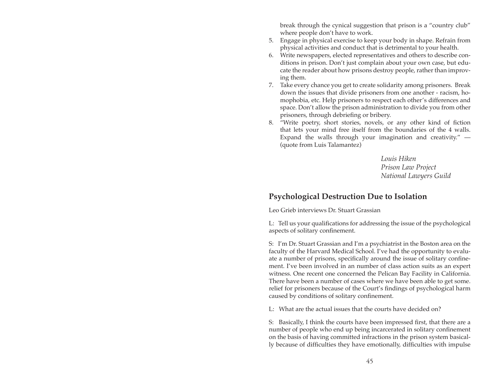break through the cynical suggestion that prison is a "country club" where people don't have to work.

- 5. Engage in physical exercise to keep your body in shape. Refrain from physical activities and conduct that is detrimental to your health.
- 6. Write newspapers, elected representatives and others to describe conditions in prison. Don't just complain about your own case, but educate the reader about how prisons destroy people, rather than improving them.
- 7. Take every chance you get to create solidarity among prisoners. Break down the issues that divide prisoners from one another - racism, homophobia, etc. Help prisoners to respect each other's differences and space. Don't allow the prison administration to divide you from other prisoners, through debriefing or bribery.
- 8. "Write poetry, short stories, novels, or any other kind of fiction that lets your mind free itself from the boundaries of the 4 walls. Expand the walls through your imagination and creativity." — (quote from Luis Talamantez)

*Louis Hiken Prison Law Project National Lawyers Guild* 

# **Psychological Destruction Due to Isolation**

Leo Grieb interviews Dr. Stuart Grassian

L: Tell us your qualifications for addressing the issue of the psychological aspects of solitary confinement.

S: I'm Dr. Stuart Grassian and I'm a psychiatrist in the Boston area on the faculty of the Harvard Medical School. I've had the opportunity to evaluate a number of prisons, specifically around the issue of solitary confinement. I've been involved in an number of class action suits as an expert witness. One recent one concerned the Pelican Bay Facility in California. There have been a number of cases where we have been able to get some. relief for prisoners because of the Court's findings of psychological harm caused by conditions of solitary confinement.

L: What are the actual issues that the courts have decided on?

S: Basically, I think the courts have been impressed first, that there are a number of people who end up being incarcerated in solitary confinement on the basis of having committed infractions in the prison system basically because of difficulties they have emotionally, difficulties with impulse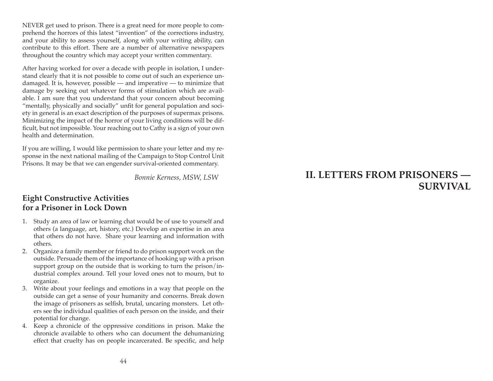NEVER get used to prison. There is a great need for more people to comprehend the horrors of this latest "invention" of the corrections industry, and your ability to assess yourself, along with your writing ability, can contribute to this effort. There are a number of alternative newspapers throughout the country which may accept your written commentary.

After having worked for over a decade with people in isolation, I understand clearly that it is not possible to come out of such an experience undamaged. It is, however, possible — and imperative — to minimize that damage by seeking out whatever forms of stimulation which are available. I am sure that you understand that your concern about becoming "mentally, physically and socially" unfit for general population and society in general is an exact description of the purposes of supermax prisons. Minimizing the impact of the horror of your living conditions will be difficult, but not impossible. Your reaching out to Cathy is a sign of your own health and determination.

If you are willing, I would like permission to share your letter and my response in the next national mailing of the Campaign to Stop Control Unit Prisons. It may be that we can engender survival-oriented commentary.

*Bonnie Kerness, MSW, LSW*

## **Eight Constructive Activities for a Prisoner in Lock Down**

- 1. Study an area of law or learning chat would be of use to yourself and others (a language, art, history, etc.) Develop an expertise in an area that others do not have. Share your learning and information with others.
- 2. Organize a family member or friend to do prison support work on the outside. Persuade them of the importance of hooking up with a prison support group on the outside that is working to turn the prison/industrial complex around. Tell your loved ones not to mourn, but to organize.
- 3. Write about your feelings and emotions in a way that people on the outside can get a sense of your humanity and concerns. Break down the image of prisoners as selfish, brutal, uncaring monsters. Let others see the individual qualities of each person on the inside, and their potential for change.
- 4. Keep a chronicle of the oppressive conditions in prison. Make the chronicle available to others who can document the dehumanizing effect that cruelty has on people incarcerated. Be specific, and help

# **II. LETTERS FROM PRISONERS — SURVIVAL**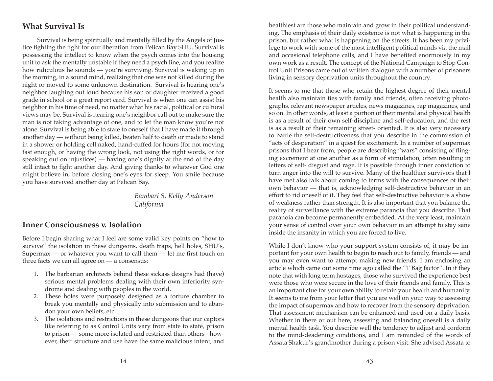## **What Survival Is**

Survival is being spiritually and mentally filled by the Angels of Justice fighting the fight for our liberation from Pelican Bay SHU. Survival is possessing the intellect to know when the psych comes into the housing unit to ask the mentally unstable if they need a psych line, and you realize how ridiculous he sounds — you're surviving. Survival is waking up in the morning, in a sound mind, realizing that one was not killed during the night or moved to some unknown destination. Survival is hearing one's neighbor laughing out loud because his son or daughter received a good grade in school or a great report card. Survival is when one can assist his neighbor in his time of need, no matter what his racial, political or cultural views may be. Survival is hearing one's neighbor call out to make sure the man is not taking advantage of one, and to let the man know you're not alone. Survival is being able to state to oneself that I have made it through another day — without being killed, beaten half to death or made to stand in a shower or holding cell naked, hand-cuffed for hours (for not moving fast enough, or having the wrong look, not using the right words, or for speaking out on injustices) — having one's dignity at the end of the day still intact to fight another day. And giving thanks to whatever God one might believe in, before closing one's eyes for sleep. You smile because you have survived another day at Pelican Bay.

> *Bambari S. Kelly Anderson California*

## **Inner Consciousness v. Isolation**

Before I begin sharing what I feel are some valid key points on "how to survive" the isolation in these dungeons, death traps, hell holes, SHU's, Supermax — or whatever you want to call them — let me first touch on three facts we can all agree on — a consensus:

- 1. The barbarian architects behind these sickass designs had (have) serious mental problems dealing with their own inferiority syndrome and dealing with peoples in the world.
- 2. These holes were purposely designed as a torture chamber to break you mentally and physically into submission and to abandon your own beliefs, etc.
- 3. The isolations and restrictions in these dungeons that our captors like referring to as Control Units vary from state to state, prison to prison — some more isolated and restricted than others - however, their structure and use have the same malicious intent, and

healthiest are those who maintain and grow in their political understanding. The emphasis of their daily existence is not what is happening in the prison, but rather what is happening on the streets. It has been my privilege to work with some of the most intelligent political minds via the mail and occasional telephone calls, and I have benefited enormously in my own work as a result. The concept of the National Campaign to Stop Control Unit Prisons came out of written dialogue with a number of prisoners living in sensory deprivation units throughout the country.

It seems to me that those who retain the highest degree of their mental health also maintain ties with family and friends, often receiving photographs, relevant newspaper articles, news magazines, rap magazines, and so on. In other words, at least a portion of their mental and physical health is as a result of their own self-discipline and self-education, and the rest is as a result of their remaining street- oriented. It is also very necessary to battle the self-destructiveness that you describe in the commission of "acts of desperation" in a quest for excitement. In a number of supermax prisons that I hear from, people are describing "wars" consisting of flinging excrement at one another as a form of stimulation, often resulting in letters of self- disgust and rage. It is possible through inner conviction to turn anger into the will to survive. Many of the healthier survivors that I have met also talk about coming to terms with the consequences of their own behavior — that is, acknowledging self-destructive behavior in an effort to rid oneself of it. They feel that self-destructive behavior is a show of weakness rather than strength. It is also important that you balance the reality of surveillance with the extreme paranoia that you describe. That paranoia can become permanently embedded. At the very least, maintain your sense of control over your own behavior in an attempt to stay sane inside the insanity in which you are forced to live.

While I don't know who your support system consists of, it may be important for your own health to begin to reach out to family, friends — and you may even want to attempt making new friends. I am enclosing an article which came out some time ago called the "T Bag factor". In it they note that with long term hostages, those who survived the experience best were those who were secure in the love of their friends and family. This is an important clue for your own ability to retain your health and humanity. It seems to me from your letter that you are well on your way to assessing the impact of supermax and how to recover from the sensory deprivation. That assessment mechanism can be enhanced and used on a daily basis. Whether in there or out here, assessing and balancing oneself is a daily mental health task. You describe well the tendency to adjust and conform to the mind-deadening conditions, and I am reminded of the words of Assata Shakur's grandmother during a prison visit. She advised Assata to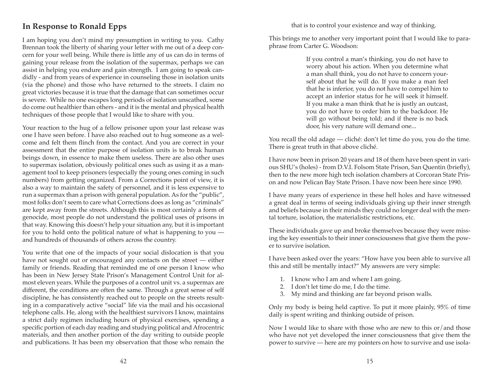that is to control your existence and way of thinking.

# **In Response to Ronald Epps**

I am hoping you don't mind my presumption in writing to you. Cathy Brennan took the liberty of sharing your letter with me out of a deep concern for your well being. While there is little any of us can do in terms of gaining your release from the isolation of the supermax, perhaps we can assist in helping you endure and gain strength. I am going to speak candidly - and from years of experience in counseling those in isolation units (via the phone) and those who have returned to the streets. I claim no great victories because it is true that the damage that can sometimes occur is severe. While no one escapes long periods of isolation unscathed, some do come out healthier than others - and it is the mental and physical health techniques of those people that I would like to share with you.

Your reaction to the hug of a fellow prisoner upon your last release was one I have seen before. I have also reached out to hug someone as a welcome and felt them flinch from the contact. And you are correct in your assessment that the entire purpose of isolation units is to break human beings down, in essence to make them useless. There are also other uses to supermax isolation, obviously political ones such as using it as a management tool to keep prisoners (especially the young ones coming in such numbers) from getting organized. From a Corrections point of view, it is also a way to maintain the safety of personnel, and it is less expensive to run a supermax than a prison with general population. As for the "public", most folks don't seem to care what Corrections does as long as "criminals" are kept away from the streets. Although this is most certainly a form of genocide, most people do not understand the political uses of prisons in that way. Knowing this doesn't help your situation any, but it is important for you to hold onto the political nature of what is happening to you and hundreds of thousands of others across the country.

You write that one of the impacts of your social dislocation is that you have not sought out or encouraged any contacts on the street — either family or friends. Reading that reminded me of one person I know who has been in New Jersey State Prison's Management Control Unit for almost eleven years. While the purposes of a control unit vs. a supermax are different, the conditions are often the same. Through a great sense of self discipline, he has consistently reached out to people on the streets resulting in a comparatively active "social" life via the mail and his occasional telephone calls. He, along with the healthiest survivors I know, maintains a strict daily regimen including hours of physical exercises, spending a specific portion of each day reading and studying political and Afrocentric materials, and then another portion of the day writing to outside people and publications. It has been my observation that those who remain the

This brings me to another very important point that I would like to paraphrase from Carter G. Woodson:

> If you control a man's thinking, you do not have to worry about his action. When you determine what a man shall think, you do not have to concern yourself about that he will do. If you make a man feel that he is inferior, you do not have to compel him to accept an inferior status for he will seek it himself. If you make a man think that he is justly an outcast, you do not have to order him to the backdoor. He will go without being told; and if there is no back door, his very nature will demand one...

You recall the old adage — cliché: don't let time do you, you do the time. There is great truth in that above cliché.

I have now been in prison 20 years and 18 of them have been spent in various SHU's (holes) - from D.V.I. Folsom State Prison, San Quentin (briefly), then to the new more high tech isolation chambers at Corcoran State Prison and now Pelican Bay State Prison. I have now been here since 1990.

I have many years of experience in these hell holes and have witnessed a great deal in terms of seeing individuals giving up their inner strength and beliefs because in their minds they could no longer deal with the mental torture, isolation, the materialistic restrictions, etc.

These individuals gave up and broke themselves because they were missing the key essentials to their inner consciousness that give them the power to survive isolation.

I have been asked over the years: "How have you been able to survive all this and still be mentally intact?" My answers are very simple:

- 1. I know who I am and where I am going.
- 2. I don't let time do me, I do the time.
- 3. My mind and thinking are far beyond prison walls.

Only my body is being held captive. To put it more plainly, 95% of time daily is spent writing and thinking outside of prison.

Now I would like to share with those who are new to this or/and those who have not yet developed the inner consciousness that give them the power to survive — here are my pointers on how to survive and use isola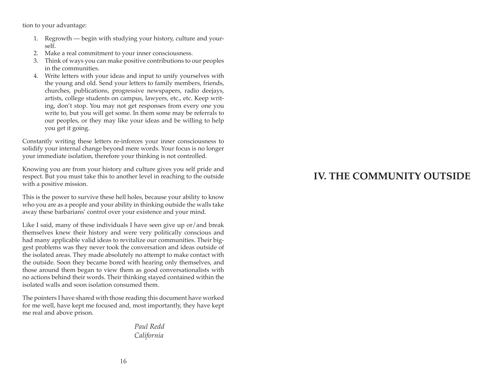tion to your advantage:

- 1. Regrowth begin with studying your history, culture and yourself.
- 2. Make a real commitment to your inner consciousness.
- 3. Think of ways you can make positive contributions to our peoples in the communities.
- 4. Write letters with your ideas and input to unify yourselves with the young and old. Send your letters to family members, friends, churches, publications, progressive newspapers, radio deejays, artists, college students on campus, lawyers, etc., etc. Keep writing, don't stop. You may not get responses from every one you write to, but you will get some. In them some may be referrals to our peoples, or they may like your ideas and be willing to help you get it going.

Constantly writing these letters re-inforces your inner consciousness to solidify your internal change beyond mere words. Your focus is no longer your immediate isolation, therefore your thinking is not controlled.

Knowing you are from your history and culture gives you self pride and respect. But you must take this to another level in reaching to the outside with a positive mission.

This is the power to survive these hell holes, because your ability to know who you are as a people and your ability in thinking outside the walls take away these barbarians' control over your existence and your mind.

Like I said, many of these individuals I have seen give up or/and break themselves knew their history and were very politically conscious and had many applicable valid ideas to revitalize our communities. Their biggest problems was they never took the conversation and ideas outside of the isolated areas. They made absolutely no attempt to make contact with the outside. Soon they became bored with hearing only themselves, and those around them began to view them as good conversationalists with no actions behind their words. Their thinking stayed contained within the isolated walls and soon isolation consumed them.

The pointers I have shared with those reading this document have worked for me well, have kept me focused and, most importantly, they have kept me real and above prison.

> *Paul Redd California*

# **IV. THE COMMUNITY OUTSIDE**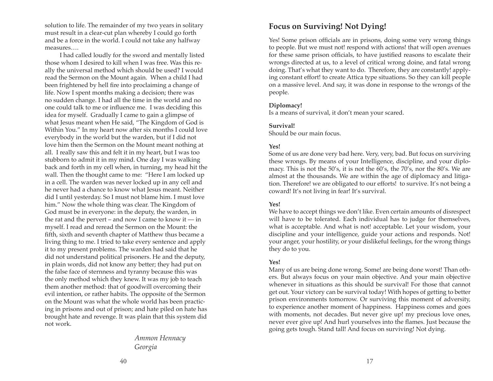solution to life. The remainder of my two years in solitary must result in a clear-cut plan whereby I could go forth and be a force in the world. I could not take any halfway measures….

I had called loudly for the sword and mentally listed those whom I desired to kill when I was free. Was this really the universal method which should be used? I would read the Sermon on the Mount again. When a child I had been frightened by hell fire into proclaiming a change of life. Now I spent months making a decision; there was no sudden change. I had all the time in the world and no one could talk to me or influence me. I was deciding this idea for myself. Gradually I came to gain a glimpse of what Jesus meant when He said, "The Kingdom of God is Within You." In my heart now after six months I could love everybody in the world but the warden, but if I did not love him then the Sermon on the Mount meant nothing at all. I really saw this and felt it in my heart, but I was too stubborn to admit it in my mind. One day I was walking back and forth in my cell when, in turning, my head hit the wall. Then the thought came to me: "Here I am locked up in a cell. The warden was never locked up in any cell and he never had a chance to know what Jesus meant. Neither did I until yesterday. So I must not blame him. I must love him." Now the whole thing was clear. The Kingdom of God must be in everyone: in the deputy, the warden, in the rat and the pervert – and now I came to know it — in myself. I read and reread the Sermon on the Mount: the fifth, sixth and seventh chapter of Matthew thus became a living thing to me. I tried to take every sentence and apply it to my present problems. The warden had said that he did not understand political prisoners. He and the deputy, in plain words, did not know any better; they had put on the false face of sternness and tyranny because this was the only method which they knew. It was my job to teach them another method: that of goodwill overcoming their evil intention, or rather habits. The opposite of the Sermon on the Mount was what the whole world has been practicing in prisons and out of prison; and hate piled on hate has brought hate and revenge. It was plain that this system did not work.

> *Ammon Hennacy Georgia*

## **Focus on Surviving! Not Dying!**

Yes! Some prison officials are in prisons, doing some very wrong things to people. But we must not! respond with actions! that will open avenues for these same prison officials, to have justified reasons to escalate their wrongs directed at us, to a level of critical wrong doine, and fatal wrong doing. That's what they want to do. Therefore, they are constantly! applying constant effort! to create Attica type situations. So they can kill people on a massive level. And say, it was done in response to the wrongs of the people.

#### **Diplomacy!**

Is a means of survival, it don't mean your scared.

#### **Survival!**

Should be our main focus.

### **Yes!**

Some of us are done very bad here. Very, very, bad. But focus on surviving these wrongs. By means of your Intelligence, discipline, and your diplomacy. This is not the 50's, it is not the 60's, the 70's, nor the 80's. We are almost at the thousands. We are within the age of diplomacy and litigation. Therefore! we are obligated to our efforts! to survive. It's not being a coward! It's not living in fear! It's survival.

#### **Yes!**

We have to accept things we don't like. Even certain amounts of disrespect will have to be tolerated. Each individual has to judge for themselves, what is acceptable. And what is not! acceptable. Let your wisdom, your discipline and your intelligence, guide your actions and responds. Not! your anger, your hostility, or your dislikeful feelings, for the wrong things they do to you.

### **Yes!**

Many of us are being done wrong. Some! are being done worst! Than others. But always focus on your main objective. And your main objective whenever in situations as this should be survival! For those that cannot get out. Your victory can be survival today! With hopes of getting to better prison environments tomorrow. Or surviving this moment of adversity, to experience another moment of happiness. Happiness comes and goes with moments, not decades. But never give up! my precious love ones, never ever give up! And hurl yourselves into the flames. Just because the going gets tough. Stand tall! And focus on surviving! Not dying.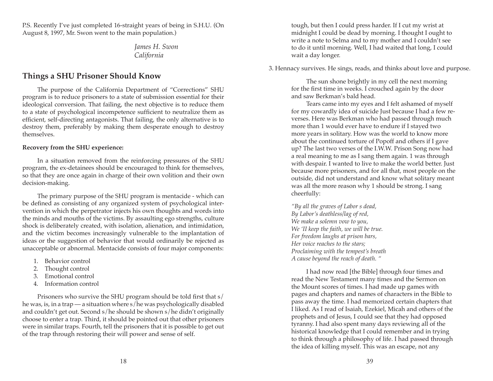P.S. Recently I've just completed 16-straight years of being in S.H.U. (On August 8, 1997, Mr. Swon went to the main population.)

> *James H. Swon California*

## **Things a SHU Prisoner Should Know**

The purpose of the California Department of "Corrections" SHU program is to reduce prisoners to a state of submission essential for their ideological conversion. That failing, the next objective is to reduce them to a state of psychological incompetence sufficient to neutralize them as efficient, self-directing antagonists. That failing, the only alternative is to destroy them, preferably by making them desperate enough to destroy themselves.

#### **Recovery from the SHU experience:**

In a situation removed from the reinforcing pressures of the SHU program, the ex-detainees should be encouraged to think for themselves, so that they are once again in charge of their own volition and their own decision-making.

The primary purpose of the SHU program is mentacide - which can be defined as consisting of any organized system of psychological intervention in which the perpetrator injects his own thoughts and words into the minds and mouths of the victims. By assaulting ego strengths, culture shock is deliberately created, with isolation, alienation, and intimidation, and the victim becomes increasingly vulnerable to the implantation of ideas or the suggestion of behavior that would ordinarily be rejected as unacceptable or abnormal. Mentacide consists of four major components:

- 1. Behavior control
- 2. Thought control
- 3. Emotional control
- 4. Information control

Prisoners who survive the SHU program should be told first that s/ he was, is, in a trap — a situation where s/he was psychologically disabled and couldn't get out. Second s/he should be shown s/he didn't originally choose to enter a trap. Third, it should be pointed out that other prisoners were in similar traps. Fourth, tell the prisoners that it is possible to get out of the trap through restoring their will power and sense of self.

tough, but then I could press harder. If I cut my wrist at midnight I could be dead by morning. I thought I ought to write a note to Selma and to my mother and I couldn't see to do it until morning. Well, I had waited that long, I could wait a day longer.

3. Hennacy survives. He sings, reads, and thinks about love and purpose.

The sun shone brightly in my cell the next morning for the first time in weeks. I crouched again by the door and saw Berkman's bald head.

Tears came into my eyes and I felt ashamed of myself for my cowardly idea of suicide Just because I had a few reverses. Here was Berkman who had passed through much more than 1 would ever have to endure if I stayed two more years in solitary. How was the world to know more about the continued torture of Popoff and others if I gave up? The last two verses of the I.W.W. Prison Song now had a real meaning to me as I sang them again. 1 was through with despair. I wanted to live to make the world better. Just because more prisoners, and for all that, most people on the outside, did not understand and know what solitary meant was all the more reason why 1 should be strong. I sang cheerfully:

*"By all the graves of Labor s dead, By Labor's deathless/lag of red, We make a solemn vow to you, We 'II keep the faith, we will be true. For freedom laughs at prison bars, Her voice reaches to the stars; Proclaiming with the tempest's breath A cause beyond the reach of death. "* 

I had now read [the Bible] through four times and read the New Testament many times and the Sermon on the Mount scores of times. I had made up games with pages and chapters and names of characters in the Bible to pass away the time. I had memorized certain chapters that I liked. As I read of Isaiah, Ezekiel, Micah and others of the prophets and of Jesus, I could see that they had opposed tyranny. I had also spent many days reviewing all of the historical knowledge that I could remember and in trying to think through a philosophy of life. I had passed through the idea of killing myself. This was an escape, not any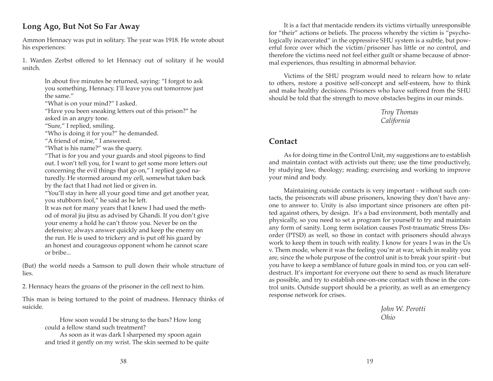## **Long Ago, But Not So Far Away**

Ammon Hennacy was put in solitary. The year was 1918. He wrote about his experiences:

1. Warden Zerbst offered to let Hennacy out of solitary if he would snitch.

> In about five minutes he returned, saying: "I forgot to ask you something, Hennacy. I'll leave you out tomorrow just the same."

"What is on your mind?" I asked.

"Have you been sneaking letters out of this prison?" he asked in an angry tone.

"Sure," I replied, smiling.

"Who is doing it for you?" he demanded.

"A friend of mine," I answered.

"What is his name?" was the query.

"That is for you and your guards and stool pigeons to find out. I won't tell you, for I want to get some more letters out concerning the evil things that go on," I replied good naturedly. He stormed around my cell, somewhat taken back by the fact that I had not lied or given in.

"You'll stay in here all your good time and get another year, you stubborn fool," he said as he left.

It was not for many years that I knew I had used the method of moral jiu jitsu as advised by Ghandi. If you don't give your enemy a hold he can't throw you. Never be on the defensive; always answer quickly and keep the enemy on the run. He is used to trickery and is put off his guard by an honest and courageous opponent whom he cannot scare or bribe...

(But) the world needs a Samson to pull down their whole structure of lies.

2. Hennacy hears the groans of the prisoner in the cell next to him.

This man is being tortured to the point of madness. Hennacy thinks of suicide.

> How soon would I be strung to the bars? How long could a fellow stand such treatment?

As soon as it was dark I sharpened my spoon again and tried it gently on my wrist. The skin seemed to be quite

It is a fact that mentacide renders its victims virtually unresponsible for "their" actions or beliefs. The process whereby the victim is "psychologically incarcerated" in the oppressive SHU system is a subtle, but powerful force over which the victim/prisoner has little or no control, and therefore the victims need not feel either guilt or shame because of abnormal experiences, thus resulting in abnormal behavior.

Victims of the SHU program would need to relearn how to relate to others, restore a positive self-concept and self-esteem, how to think and make healthy decisions. Prisoners who have suffered from the SHU should be told that the strength to move obstacles begins in our minds.

> *Troy Thomas California*

## **Contact**

As for doing time in the Control Unit, my suggestions are to establish and maintain contact with activists out there; use the time productively, by studying law, theology; reading; exercising and working to improve your mind and body.

Maintaining outside contacts is very important - without such contacts, the prisoncrats will abuse prisoners, knowing they don't have anyone to answer to. Unity is also important since prisoners are often pitted against others, by design. It's a bad environment, both mentally and physically, so you need to set a program for yourself to try and maintain any form of sanity. Long term isolation causes Post-traumatic Stress Disorder (PTSD) as well, so those in contact with prisoners should always work to keep them in touch with reality. I know for years I was in the Us v. Them mode, where it was the feeling you're at war, which in reality you are, since the whole purpose of the control unit is to break your spirit - but you have to keep a semblance of future goals in mind too, or you can selfdestruct. It's important for everyone out there to send as much literature as possible, and try to establish one-on-one contact with those in the control units. Outside support should be a priority, as well as an emergency response network for crises.

> *John W. Perotti Ohio*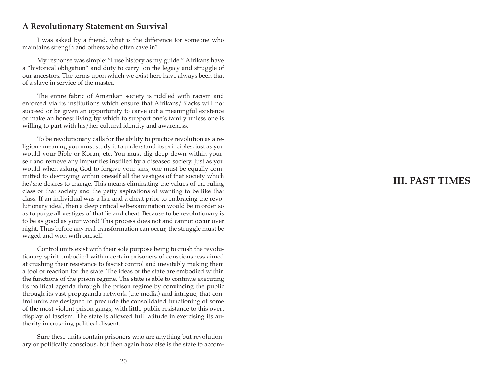## **A Revolutionary Statement on Survival**

I was asked by a friend, what is the difference for someone who maintains strength and others who often cave in?

My response was simple: "I use history as my guide." Afrikans have a "historical obligation" and duty to carry on the legacy and struggle of our ancestors. The terms upon which we exist here have always been that of a slave in service of the master.

The entire fabric of Amerikan society is riddled with racism and enforced via its institutions which ensure that Afrikans/Blacks will not succeed or be given an opportunity to carve out a meaningful existence or make an honest living by which to support one's family unless one is willing to part with his/her cultural identity and awareness.

To be revolutionary calls for the ability to practice revolution as a re ligion - meaning you must study it to understand its principles, just as you would your Bible or Koran, etc. You must dig deep down within your self and remove any impurities instilled by a diseased society. Just as you would when asking God to forgive your sins, one must be equally com mitted to destroying within oneself all the vestiges of that society which he/she desires to change. This means eliminating the values of the ruling class of that society and the petty aspirations of wanting to be like that class. If an individual was a liar and a cheat prior to embracing the revo lutionary ideal, then a deep critical self-examination would be in order so as to purge all vestiges of that lie and cheat. Because to be revolutionary is to be as good as your word! This process does not and cannot occur over night. Thus before any real transformation can occur, the struggle must be waged and won with oneself!

Control units exist with their sole purpose being to crush the revolu tionary spirit embodied within certain prisoners of consciousness aimed at crushing their resistance to fascist control and inevitably making them a tool of reaction for the state. The ideas of the state are embodied within the functions of the prison regime. The state is able to continue executing its political agenda through the prison regime by convincing the public through its vast propaganda network (the media) and intrigue, that con trol units are designed to preclude the consolidated functioning of some of the most violent prison gangs, with little public resistance to this overt display of fascism. The state is allowed full latitude in exercising its au thority in crushing political dissent.

Sure these units contain prisoners who are anything but revolution ary or politically conscious, but then again how else is the state to accom -

# **III. PAST TIMES**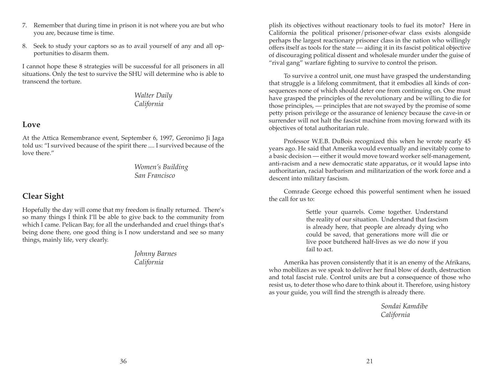- 7. Remember that during time in prison it is not where you are but who you are, because time is time.
- 8. Seek to study your captors so as to avail yourself of any and all opportunities to disarm them.

I cannot hope these 8 strategies will be successful for all prisoners in all situations. Only the test to survive the SHU will determine who is able to transcend the torture.

## *Walter Daily California*

## **Love**

At the Attica Remembrance event, September 6, 1997, Geronimo Ji Jaga told us: "I survived because of the spirit there .... I survived because of the love there."

> *Women's Building San Francisco*

# **Clear Sight**

Hopefully the day will come that my freedom is finally returned. There's so many things I think I'll be able to give back to the community from which I came. Pelican Bay, for all the underhanded and cruel things that's being done there, one good thing is I now understand and see so many things, mainly life, very clearly.

> *Johnny Barnes California*

plish its objectives without reactionary tools to fuel its motor? Here in California the political prisoner/prisoner-ofwar class exists alongside perhaps the largest reactionary prisoner class in the nation who willingly offers itself as tools for the state — aiding it in its fascist political objective of discouraging political dissent and wholesale murder under the guise of "rival gang" warfare fighting to survive to control the prison.

To survive a control unit, one must have grasped the understanding that struggle is a lifelong commitment, that it embodies all kinds of consequences none of which should deter one from continuing on. One must have grasped the principles of the revolutionary and be willing to die for those principles, — principles that are not swayed by the promise of some petty prison privilege or the assurance of leniency because the cave-in or surrender will not halt the fascist machine from moving forward with its objectives of total authoritarian rule.

Professor W.E.B. DuBois recognized this when he wrote nearly 45 years ago. He said that Amerika would eventually and inevitably come to a basic decision — either it would move toward worker self-management, anti-racism and a new democratic state apparatus, or it would lapse into authoritarian, racial barbarism and militarization of the work force and a descent into military fascism.

Comrade George echoed this powerful sentiment when he issued the call for us to:

> Settle your quarrels. Come together. Understand the reality of our situation. Understand that fascism is already here, that people are already dying who could be saved, that generations more will die or live poor butchered half-lives as we do now if you fail to act.

Amerika has proven consistently that it is an enemy of the Afrikans, who mobilizes as we speak to deliver her final blow of death, destruction and total fascist rule. Control units are but a consequence of those who resist us, to deter those who dare to think about it. Therefore, using history as your guide, you will find the strength is already there.

> *Sondai Kamdibe California*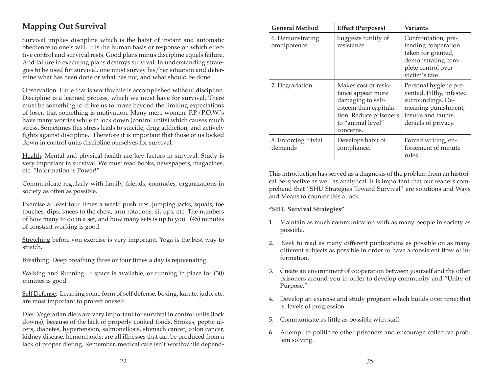# **Mapping Out Survival**

Survival implies discipline which is the habit of instant and automatic obedience to one's will. It is the human basis or response on which effective control and survival rests. Good plans minus discipline equals failure. And failure in executing plans destroys survival. In understanding strategies to be used for survival, one must survey his/her situation and determine what has been done or what has not, and what should be done.

Observation: Little that is worthwhile is accomplished without discipline. Discipline is a learned process, which we must have for survival. There must be something to drive us to move beyond the limiting expectations of loser, that something is motivation. Many men, women, P.P./P.O.W.'s have many worries while in lock down (control units) which causes much stress. Sometimes this stress leads to suicide, drug addiction, and actively fights against discipline. Therefore it is important that those of us locked down in control units discipline ourselves for survival.

Health: Mental and physical health are key factors in survival. Study is very important in survival. We must read books, newspapers, magazines, etc. "Information is Power!"

Communicate regularly with family, friends, comrades, organizations in society as often as possible.

Exercise at least four times a week: push ups, jumping jacks, squats, toe touches, dips, knees to the chest, arm rotations, sit ups, etc. The numbers of how many to do in a set, and how many sets is up to you. (45) minutes of constant working is good.

Stretching before you exercise is very important. Yoga is the best way to stretch.

Breathing: Deep breathing three or four times a day is rejuvenating.

Walking and Running: If space is available, or running in place for (30) minutes is good.

Self Defense: Learning some form of self defense, boxing, karate, judo, etc. are most important to protect oneself.

Diet: Vegetarian diets are very important for survival in control units (lock downs), because of the lack of properly cooked foods. Strokes, peptic ulcers, diabetes, hypertension, salmonellosis, stomach cancer, colon cancer, kidney disease, hemorrhoids; are all illnesses that can be produced from a lack of proper dieting. Remember, medical care isn't worthwhile depend-

| <b>General Method</b>           | <b>Effect (Purposes)</b>                                                                                                                            | Variants                                                                                                                                    |
|---------------------------------|-----------------------------------------------------------------------------------------------------------------------------------------------------|---------------------------------------------------------------------------------------------------------------------------------------------|
| 6. Demonstrating<br>omnipotence | Suggests futility of<br>resistance.                                                                                                                 | Confrontation, pre-<br>tending cooperation<br>taken for granted,<br>demonstrating com-<br>plete control over<br>victim's fate.              |
| 7. Degradation                  | Makes cost of resis-<br>tance appear more<br>damaging to self-<br>esteem than capitula-<br>tion. Reduce prisoners<br>to "animal level"<br>concerns. | Personal hygiene pre-<br>vented. Filthy, infested<br>surroundings. De-<br>meaning punishment,<br>insults and taunts,<br>denials of privacy. |
| 8. Enforcing trivial<br>demands | Develops habit of<br>compliance.                                                                                                                    | Forced writing, en-<br>forcement of minute<br>rules.                                                                                        |

This introduction has served as a diagnosis of the problem from an historical perspective as well as analytical. It is important that our readers comprehend that "SHU Strategies Toward Survival" are solutions and Ways and Means to counter this attack.

#### **"SHU Survival Strategies"**

- 1. Maintain as much communication with as many people in society as possible.
- 2. Seek to read as many different publications as possible on as many different subjects as possible in order to have a consistent flow of information.
- 3. Create an environment of cooperation between yourself and the other prisoners around you in order to develop community and "Unity of Purpose."
- 4. Develop an exercise and study program which builds over time; that is, levels of progression.
- 5. Communicate as little as possible with staff.
- 6. Attempt to politicize other prisoners and encourage collective problem solving.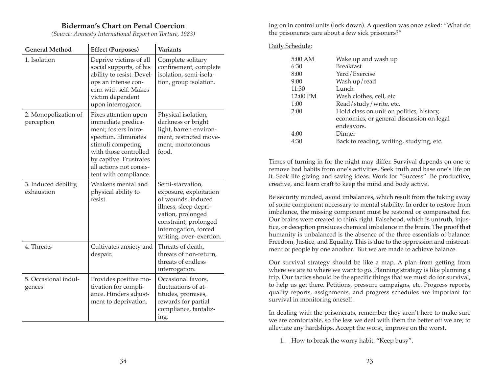### **Biderman's Chart on Penal Coercion**

*(Source: Amnesty International Report on Torture, 1983)* 

 $\mathbf{r}$ 

| <b>General Method</b>              | <b>Effect (Purposes)</b>                                                                                                                                                                                               | <b>Variants</b>                                                                                                                                                                             |
|------------------------------------|------------------------------------------------------------------------------------------------------------------------------------------------------------------------------------------------------------------------|---------------------------------------------------------------------------------------------------------------------------------------------------------------------------------------------|
| 1. Isolation                       | Deprive victims of all<br>social supports, of his<br>ability to resist. Devel-<br>ops an intense con-<br>cern with self. Makes<br>victim dependent<br>upon interrogator.                                               | Complete solitary<br>confinement, complete<br>isolation, semi-isola-<br>tion, group isolation.                                                                                              |
| 2. Monopolization of<br>perception | Fixes attention upon<br>immediate predica-<br>ment; fosters intro-<br>spection. Eliminates<br>stimuli competing<br>with those controlled<br>by captive. Frustrates<br>all actions not consis-<br>tent with compliance. | Physical isolation,<br>darkness or bright<br>light, barren environ-<br>ment, restricted move-<br>ment, monotonous<br>food.                                                                  |
| 3. Induced debility,<br>exhaustion | Weakens mental and<br>physical ability to<br>resist.                                                                                                                                                                   | Semi-starvation,<br>exposure, exploitation<br>of wounds, induced<br>illness, sleep depri-<br>vation, prolonged<br>constraint, prolonged<br>interrogation, forced<br>writing, over-exertion. |
| 4. Threats                         | Cultivates anxiety and<br>despair.                                                                                                                                                                                     | Threats of death,<br>threats of non-return,<br>threats of endless<br>interrogation.                                                                                                         |
| 5. Occasional indul-<br>gences     | Provides positive mo-<br>tivation for compli-<br>ance. Hinders adjust-<br>ment to deprivation.                                                                                                                         | Occasional favors,<br>fluctuations of at-<br>titudes, promises,<br>rewards for partial<br>compliance, tantaliz-<br>ing.                                                                     |

ing on in control units (lock down). A question was once asked: "What do the prisoncrats care about a few sick prisoners?"

### Daily Schedule:

| 5:00 AM  | Wake up and wash up                       |
|----------|-------------------------------------------|
| 6:30     | <b>Breakfast</b>                          |
| 8:00     | Yard/Exercise                             |
| 9:00     | Wash up/read                              |
| 11:30    | Lunch                                     |
| 12:00 PM | Wash clothes, cell, etc                   |
| 1:00     | Read/study/write, etc.                    |
| 2:00     | Hold class on unit on politics, history,  |
|          | economics, or general discussion on legal |
|          | endeavors.                                |
| 4:00     | Dinner                                    |
| 4:30     | Back to reading, writing, studying, etc.  |

Times of turning in for the night may differ. Survival depends on one to remove bad habits from one's activities. Seek truth and base one's life on it. Seek life giving and saving ideas. Work for "Success". Be productive, creative, and learn craft to keep the mind and body active.

Be security minded, avoid imbalances, which result from the taking away of some component necessary to mental stability. In order to restore from imbalance, the missing component must be restored or compensated for. Our brains were created to think right. Falsehood, which is untruth, injustice, or deception produces chemical imbalance in the brain. The proof that humanity is unbalanced is the absence of the three essentials of balance: Freedom, Justice, and Equality. This is due to the oppression and mistreatment of people by one another. But we are made to achieve balance.

Our survival strategy should be like a map. A plan from getting from where we are to where we want to go. Planning strategy is like planning a trip. Our tactics should be the specific things that we must do for survival, to help us get there. Petitions, pressure campaigns, etc. Progress reports, quality reports, assignments, and progress schedules are important for survival in monitoring oneself.

In dealing with the prisoncrats, remember they aren't here to make sure we are comfortable, so the less we deal with them the better off we are; to alleviate any hardships. Accept the worst, improve on the worst.

1. How to break the worry habit: "Keep busy".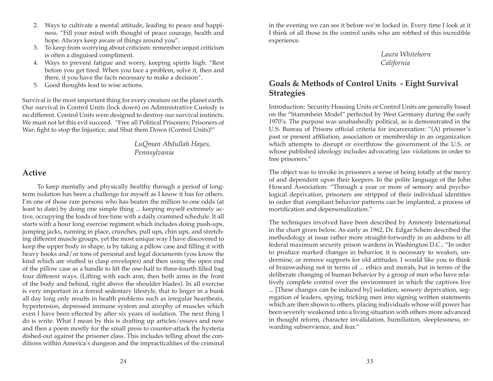- 2. Ways to cultivate a mental attitude, leading to peace and happiness. "Fill your mind with thought of peace courage, health and hope. Always keep aware of things around you".
- 3. To keep from worrying about criticism: remember unjust criticism is often a disguised compliment.
- 4. Ways to prevent fatigue and worry, keeping spirits high. "Rest before you get tired. When you face a problem, solve it, then and there, if you have the facts necessary to make a decision".
- 5. Good thoughts lead to wise actions.

Survival is the most important thing for every creature on the planet earth. Our survival in Control Units (lock down) on Administrative Custody is no different. Control Units were designed to destroy our survival instincts. We must not let this evil succeed. "Free all Political Prisoners; Prisoners of War; fight to stop the Injustice, and Shut them Down (Control Units)!"

> *LuQman Abdullah Hayes, Pennsylvania*

## **Active**

To keep mentally and physically healthy through a period of longterm isolation has been a challenge for myself as I know it has for others. I'm one of those rare persons who has beaten the million to one odds (at least to date) by doing one simple thing ... keeping myself extremely active, occupying the loads of free time with a daily crammed schedule. It all starts with a hour long exercise regiment which includes doing push-ups, jumping jacks, running in place, crunches, pull ups, chin ups, and stretching different muscle groups, yet the most unique way I have discovered to keep the upper body in shape, is by taking a pillow case and filling it with heavy books and/or tons of personal and legal documents (you know the kind which are stuffed in clasp envelopes) and then using the open end of the pillow case as a handle to lift the one-half to three-fourth filled bag four different ways. (Lifting with each arm, then both arms in the front of the body and behind, right above the shoulder blades). In all exercise is very important in a forced sedentary lifestyle, that to linger in a bunk all day long only results in health problems such as irregular heartbeats, hypertension, depressed immune system and atrophy of muscles which even I have been effected by after six years of isolation. The next thing I do is write. What I mean by this is drafting up articles/essays and now and then a poem mostly for the small press to counter-attack the hysteria dished-out against the prisoner class. This includes telling about the conditions within America's dungeon and the impracticalities of the criminal

in the evening we can see it before we're locked in. Every time I look at it I think of all those in the control units who are robbed of this incredible experience.

> *Laura Whitehorn California*

## **Goals & Methods of Control Units - Eight Survival Strategies**

Introduction: Security Housing Units or Control Units are generally based on the "Stammhein Model" perfected by West Germany during the early 1970's. The purpose was unabashedly political, as is demonstrated in the U.S. Bureau of Prisons official criteria for incarceration: "(A) prisoner's past or present affiliation, association or membership in an organization which attempts to disrupt or overthrow the government of the U.S. or whose published ideology includes advocating law violations in order to free prisoners."

The object was to invoke in prisoners a sense of being totally at the mercy of and dependent upon their keepers. In the polite language of the John Howard Association: "Through a year or more of sensory and psychological deprivation, prisoners are stripped of their individual identities in order that compliant behavior patterns can be implanted, a process of mortification and depersonalization."

The techniques involved have been described by Amnesty International in the chart given below. As early as 1962, Dr. Edgar Schein described the methodology at issue rather more straight-forwardly in an address to all federal maximum security prison wardens in Washington D.C.: "In order to produce marked changes in behavior, it is necessary to weaken, undermine, or remove supports for old attitudes. I would like you to think of brainwashing not in terms of ... ethics and morals, but in terms of the deliberate changing of human behavior by a group of men who have relatively complete control over the environment in which the captives live ... [These changes can be induced by] isolation, sensory deprivation, segregation of leaders, spying, tricking men into signing written statements which are then shown to others, placing individuals whose will power has been severely weakened into a living situation with others more advanced in thought reform, character invalidation, humiliation, sleeplessness, rewarding subservience, and fear."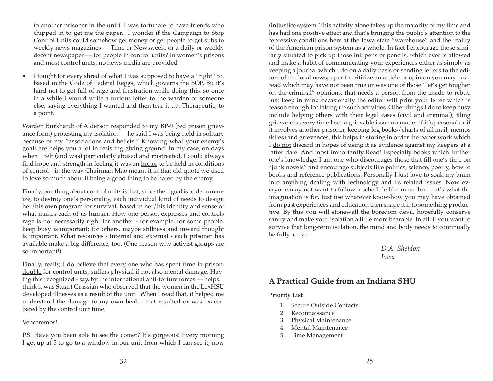to another prisoner in the unit). I was fortunate to have friends who chipped in to get me the paper. I wonder if the Campaign to Stop Control Units could somehow get money or get people to get subs to weekly news magazines — Time or Newsweek, or a daily or weekly decent newspaper — for people in control units? In women's prisons and most control units, no news media are provided.

• I fought for every shred of what I was supposed to have a "right" to, based in the Code of Federal Reggs, which governs the BOP. Bu it's hard not to get full of rage and frustration while doing this, so once in a while I would write a furious letter to the warden or someone else, saying everything I wanted and then tear it up. Therapeutic, to a point.

Warden Burkhardt of Alderson responded to my BP-9 (fed prison grievance form) protesting my isolation — he said I was being held in solitary because of my "associations and beliefs." Knowing what your enemy's goals are helps you a lot in resisting giving ground. In my case, on days when 1 felt (and was) particularly abused and mistreated, I could always find hope and strength in feeling it was an honor to be held in conditions of control - in the way Chairman Mao meant it in that old quote we used to love so much about it being a good thing to be hated by the enemy.

Finally, one thing about control units is that, since their goal is to dehumanize, to destroy one's personality, each individual kind of needs to design her/his own program for survival, based in her/his identity and sense of what makes each of us human. How one person expresses and controls rage is not necessarily right for another - for example, for some people, keep busy is important; for others, maybe stillness and inward thought is important. What resources - internal and external - each prisoner has available make a big difference, too. (One reason why activist groups are so important!)

Finally, really, I do believe that every one who has spent time in prison, double for control units, suffers physical if not also mental damage. Having this recognized - say, by the international anti-torture forces — helps. I think it was Stuart Grassian who observed that the women in the LexHSU developed illnesses as a result of the unit. When I read that, it helped me understand the damage to my own health that resulted or was exacerbated by the control unit time.

#### Venceremos!

P.S. Have you been able to see the comet? It's gorgeous! Every morning I get up at 5 to go to a window in our unit from which I can see it; now

(in)justice system. This activity alone takes up the majority of my time and has had one positive effect and that's bringing the public's attention to the repressive conditions here at the Iowa state "warehouse" and the reality of the American prison system as a whole. In fact I encourage those similarly situated to pick up those ink pens or pencils, which ever is allowed and make a habit of communicating your experiences either as simply as keeping a journal which I do on a daily basis or sending letters to the editors of the local newspaper to criticize an article or opinion you may have read which may have not been true or was one of those "let's get tougher on the criminal" opinions, that needs a person from the inside to rebut. Just keep in mind occasionally the editor will print your letter which is reason enough for taking up such activities. Other things I do to keep busy include helping others with their legal cases (civil and criminal), filing grievances every time I see a grievable issue no matter if it's personal or if it involves another prisoner, keeping log books/charts of all mail, memos (kites) and grievances, this helps in storing in order the paper work which I do not discard in hopes of using it as evidence against my keepers at a latter date. And most importantly Read! Especially books which further one's knowledge. I am one who discourages those that fill one's time on "junk novels" and encourage subjects like politics, science, poetry, how to books and reference publications. Personally I just love to soak my brain into anything dealing with technology and its related issues. Now everyone may not want to follow a schedule like mine, but that's what the imagination is for. Just use whatever know-how you may have obtained from past experiences and education then shape it into something productive. By this you will stonewall the boredom devil, hopefully conserve sanity and make your isolation a little more bearable. In all, if you want to survive that long-term isolation, the mind and body needs to continually be fully active.

> *D.A. Sheldon Iowa*

## **A Practical Guide from an Indiana SHU**

#### **Priority List**

- 1. Secure Outside Contacts
- 2. Reconnaissance
- 3. Physical Maintenance
- 4. Mental Maintenance
- 5. Time Management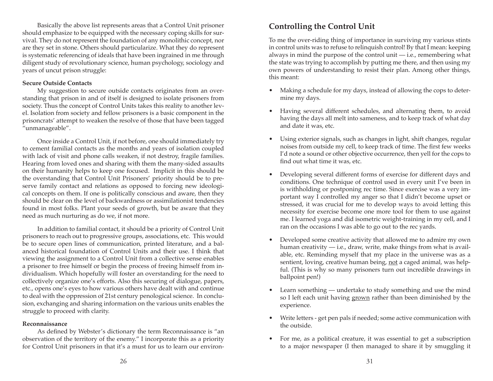Basically the above list represents areas that a Control Unit prisoner should emphasize to be equipped with the necessary coping skills for survival. They do not represent the foundation of any monolithic concept, nor are they set in stone. Others should particularize. What they do represent is systematic referencing of ideals that have been ingrained in me through diligent study of revolutionary science, human psychology, sociology and years of uncut prison struggle:

#### **Secure Outside Contacts**

My suggestion to secure outside contacts originates from an overstanding that prison in and of itself is designed to isolate prisoners from society. Thus the concept of Control Units takes this reality to another level. Isolation from society and fellow prisoners is a basic component in the prisoncrats' attempt to weaken the resolve of those that have been tagged "unmanageable".

Once inside a Control Unit, if not before, one should immediately try to cement familial contacts as the months and years of isolation coupled with lack of visit and phone calls weaken, if not destroy, fragile families. Hearing from loved ones and sharing with them the many-sided assaults on their humanity helps to keep one focused. Implicit in this should be the overstanding that Control Unit Prisoners' priority should be to preserve family contact and relations as opposed to forcing new ideological concepts on them. If one is politically conscious and aware, then they should be clear on the level of backwardness or assimilationist tendencies found in most folks. Plant your seeds of growth, but be aware that they need as much nurturing as do we, if not more.

In addition to familial contact, it should be a priority of Control Unit prisoners to reach out to progressive groups, associations, etc. This would be to secure open lines of communication, printed literature, and a balanced historical foundation of Control Units and their use. I think that viewing the assignment to a Control Unit from a collective sense enables a prisoner to free himself or begin the process of freeing himself from individualism. Which hopefully will foster an overstanding for the need to collectively organize one's efforts. Also this securing of dialogue, papers, etc., opens one's eyes to how various others have dealt with and continue to deal with the oppression of 21st century penological science. In conclusion, exchanging and sharing information on the various units enables the struggle to proceed with clarity.

#### **Reconnaissance**

As defined by Webster's dictionary the term Reconnaissance is "an observation of the territory of the enemy." I incorporate this as a priority for Control Unit prisoners in that it's a must for us to learn our environ-

# **Controlling the Control Unit**

To me the over-riding thing of importance in surviving my various stints in control units was to refuse to relinquish control! By that I mean: keeping always in mind the purpose of the control unit  $-$  i.e., remembering what the state was trying to accomplish by putting me there, and then using my own powers of understanding to resist their plan. Among other things, this meant:

- Making a schedule for my days, instead of allowing the cops to determine my days.
- Having several different schedules, and alternating them, to avoid having the days all melt into sameness, and to keep track of what day and date it was, etc.
- Using exterior signals, such as changes in light, shift changes, regular noises from outside my cell, to keep track of time. The first few weeks I'd note a sound or other objective occurrence, then yell for the cops to find out what time it was, etc.
- Developing several different forms of exercise for different days and conditions. One technique of control used in every unit I've been in is withholding or postponing rec time. Since exercise was a very important way I controlled my anger so that I didn't become upset or stressed, it was crucial for me to develop ways to avoid letting this necessity for exercise become one more tool for them to use against me. I learned yoga and did isometric weight-training in my cell, and I ran on the occasions I was able to go out to the rec yards.
- Developed some creative activity that allowed me to admire my own human creativity  $-$  i.e., draw, write, make things from what is available, etc. Reminding myself that my place in the universe was as a sentient, loving, creative human being, not a caged animal, was helpful. (This is why so many prisoners turn out incredible drawings in ballpoint pen!)
- Learn something undertake to study something and use the mind so I left each unit having grown rather than been diminished by the experience.
- Write letters get pen pals if needed; some active communication with the outside.
- For me, as a political creature, it was essential to get a subscription to a major newspaper (I then managed to share it by smuggling it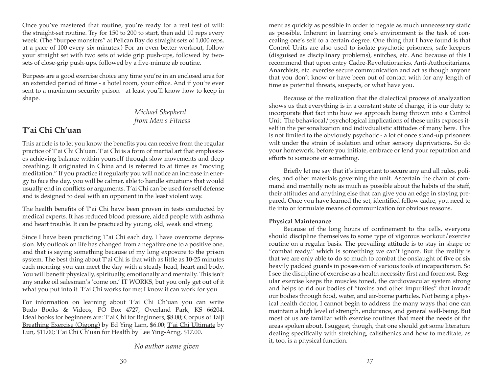Once you've mastered that routine, you're ready for a real test of will: the straight-set routine. Try for 150 to 200 to start, then add 10 reps every week. (The "burpee monsters" at Pelican Bay do straight sets of 1,000 reps, at a pace of 100 every six minutes.) For an even better workout, follow your straight set with two sets of wide grip push-ups, followed by twosets of close-grip push-ups, followed by a five-minute ab routine.

Burpees are a good exercise choice any time you're in an enclosed area for an extended period of time - a hotel room, your office. And if you're ever sent to a maximum-security prison - at least you'll know how to keep in shape.

> *Michael Shepherd from Men s Fitness*

# **T'ai Chi Ch'uan**

This article is to let you know the benefits you can receive from the regular practice of T'ai Chi Ch'uan. T'ai Chi is a form of martial art that emphasizes achieving balance within yourself through slow movements and deep breathing. It originated in China and is referred to at times as "moving meditation." If you practice it regularly you will notice an increase in energy to face the day, you will be calmer, able to handle situations that would usually end in conflicts or arguments. T'ai Chi can be used for self defense and is designed to deal with an opponent in the least violent way.

The health benefits of T'ai Chi have been proven in tests conducted by medical experts. It has reduced blood pressure, aided people with asthma and heart trouble. It can be practiced by young, old, weak and strong.

Since I have been practicing T'ai Chi each day, I have overcome depression. My outlook on life has changed from a negative one to a positive one, and that is saying something because of my long exposure to the prison system. The best thing about T'ai Chi is that with as little as 10-25 minutes each morning you can meet the day with a steady head, heart and body. You will benefit physically, spiritually, emotionally and mentally. This isn't any snake oil salesman's 'come on.' IT WORKS, but you only get out of it what you put into it. T'ai Chi works for me; I know it can work for you.

For information on learning about T'ai Chi Ch'uan you can write Budo Books & Videos, PO Box 4727, Overland Park, KS 66204. Ideal books for beginners are: T'ai Chi for Beginners, \$8.00; Corpus of Taiji Breathing Exercise (Qigong) by Ed Ying Lam, \$6.00; T'ai Chi Ultimate by Lun, \$11.00; T'ai Chi Ch'uan for Health by Lee Ying-Arng, \$17.00.

*No author name given*

ment as quickly as possible in order to negate as much unnecessary static as possible. Inherent in learning one's environment is the task of concealing one's self to a certain degree. One thing that I have found is that Control Units are also used to isolate psychotic prisoners, safe keepers (disguised as disciplinary problems), snitches, etc. And because of this I recommend that upon entry Cadre-Revolutionaries, Anti-Authoritarians, Anarchists, etc. exercise secure communication and act as though anyone that you don't know or have been out of contact with for any length of time as potential threats, suspects, or what have you.

Because of the realization that the dialectical process of analyzation shows us that everything is in a constant state of change, it is our duty to incorporate that fact into how we approach being thrown into a Control Unit. The behavioral/psychological implications of these units exposes itself in the personalization and indivdualistic attitudes of many here. This is not limited to the obviously psychotic - a lot of once stand-up prisoners wilt under the strain of isolation and other sensory deprivations. So do your homework, before you initiate, embrace or lend your reputation and efforts to someone or something.

Briefly let me say that it's important to secure any and all rules, policies, and other materials governing the unit. Ascertain the chain of command and mentally note as much as possible about the habits of the staff, their attitudes and anything else that can give you an edge in staying prepared. Once you have learned the set, identified fellow cadre, you need to tie into or formulate means of communication for obvious reasons.

#### **Physical Maintenance**

Because of the long hours of confinement to the cells, everyone should discipline themselves to some type of vigorous workout/exercise routine on a regular basis. The prevailing attitude is to stay in shape or "combat ready," which is sometthing we can't ignore. But the reality is that we are only able to do so much to combat the onslaught of five or six heavily padded guards in possession of various tools of incapacitarion. So I see the discipline of exercise as a health necessity first and foremost. Regular exercise keeps the muscles toned, the cardiovascular system strong and helps to rid our bodies of "toxins and other impurities" that invade our bodies through food, water, and air-borne particles. Not being a physical health doctor, I cannot begin to address the many ways that one can maintain a high level of strength, endurance, and general well-being. But most of us are familiar with exercise routines that meet the needs of the areas spoken about. I suggest, though, that one should get some literature dealing specifically with stretching, calisthenics and how to meditate, as it, too, is a physical function.